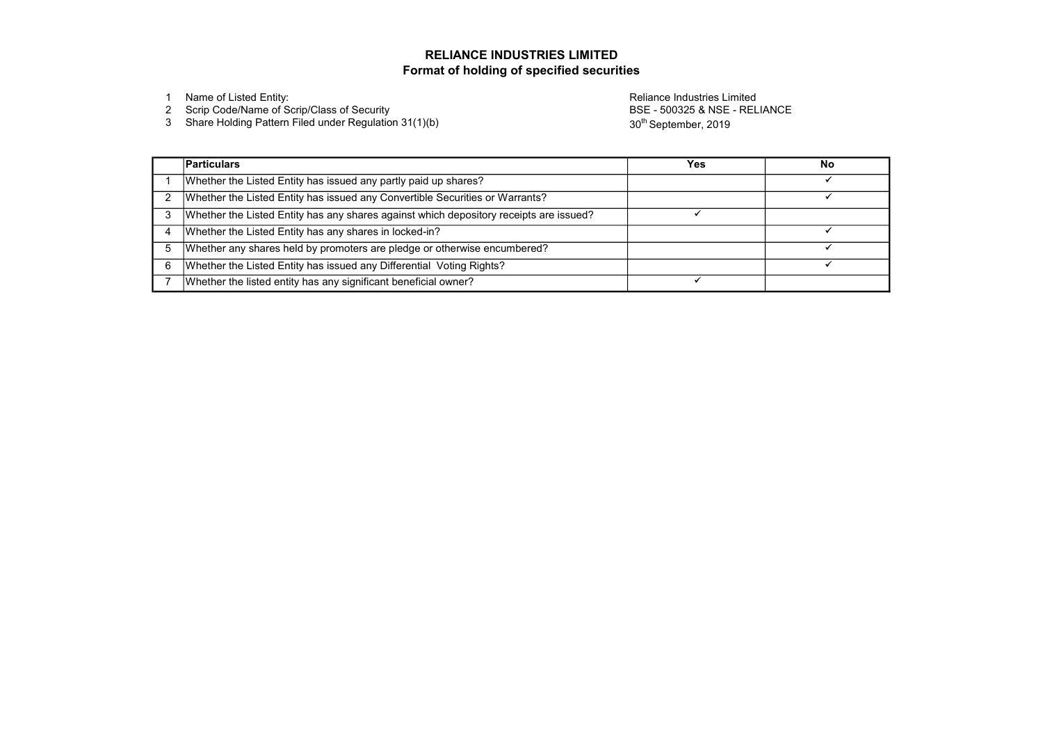2 Scrip Code/Name of Scrip/Class of Security

3 Share Holding Pattern Filed under Regulation 31(1)(b)

1 Name of Listed Entity: Reliance Industries Limited BSE - 500325 & NSE - RELIANCE 30<sup>th</sup> September, 2019

|                | <b>Particulars</b>                                                                     | Yes | <b>No</b> |
|----------------|----------------------------------------------------------------------------------------|-----|-----------|
|                | Whether the Listed Entity has issued any partly paid up shares?                        |     |           |
| 2              | Whether the Listed Entity has issued any Convertible Securities or Warrants?           |     |           |
| 3              | Whether the Listed Entity has any shares against which depository receipts are issued? |     |           |
| $\overline{4}$ | Whether the Listed Entity has any shares in locked-in?                                 |     |           |
| 5              | Whether any shares held by promoters are pledge or otherwise encumbered?               |     |           |
| 6              | Whether the Listed Entity has issued any Differential Voting Rights?                   |     |           |
|                | Whether the listed entity has any significant beneficial owner?                        |     |           |



# Format of holding of specified securities RELIANCE INDUSTRIES LIMITED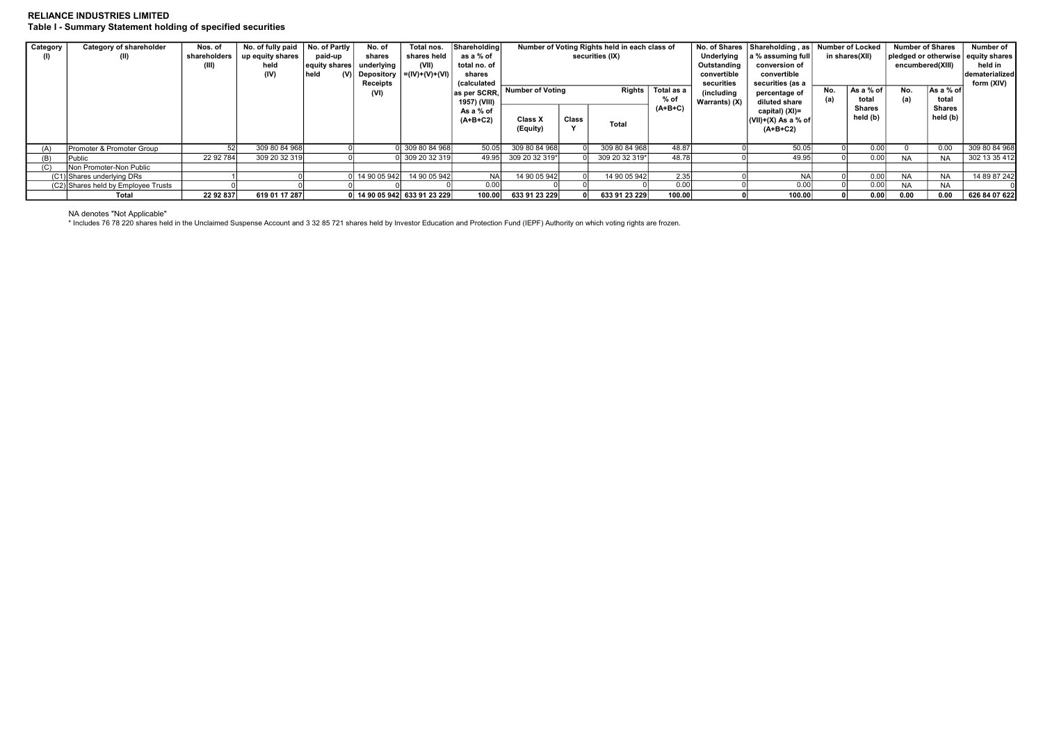# RELIANCE INDUSTRIES LIMITED Table I - Summary Statement holding of specified securities

# NA denotes "Not Applicable"

| <b>Category</b> | Category of shareholder<br>(II)     | Nos. of<br>shareholders<br>(III) | No. of fully paid<br>up equity shares<br>held<br>(IV) | No. of Partly I<br>paid-up<br>$ $ equity shares $ $<br>held | No. of<br>shares<br>underlying<br>(V) Depository<br>Receipts<br>(VI) | Total nos.<br>shares held<br>(VII)<br>$= (IV)+(V)+(V)$ | Shareholding<br>as a % of<br>total no. of<br>shares<br>(calculated<br>as per SCRR,<br>1957) (VIII) | securities (IX)<br><b>Number of Voting</b><br>Rights  <br>% of |              | Number of Voting Rights held in each class of<br>Total as a<br>$(A+B+C)$ |        | No. of Shares   Shareholding, as   Number of Locked<br>Underlying<br>a % assuming full<br>in shares(XII)<br>Outstanding<br>conversion of<br>convertible<br>convertible<br>securities (as a<br>securities<br>No.<br>(including)<br>percentage of<br>total<br>Warrants) (X)<br>diluted share<br><b>Shares</b> |  | As a % of | encumbered(XIII)<br>No.<br>(a) | <b>Number of Shares</b><br> As a % of  <br>total | Number of<br>  pledged or otherwise   equity shares  <br>held in<br>dematerialized<br>form (XIV) |
|-----------------|-------------------------------------|----------------------------------|-------------------------------------------------------|-------------------------------------------------------------|----------------------------------------------------------------------|--------------------------------------------------------|----------------------------------------------------------------------------------------------------|----------------------------------------------------------------|--------------|--------------------------------------------------------------------------|--------|-------------------------------------------------------------------------------------------------------------------------------------------------------------------------------------------------------------------------------------------------------------------------------------------------------------|--|-----------|--------------------------------|--------------------------------------------------|--------------------------------------------------------------------------------------------------|
|                 |                                     |                                  |                                                       |                                                             |                                                                      |                                                        | As a % of<br>$(A+B+C2)$                                                                            | <b>Class X</b><br>(Equity)                                     | <b>Class</b> | Total                                                                    |        | capital) (XI)=<br>$ $ (VII)+(X) As a % of<br>$(A+B+C2)$                                                                                                                                                                                                                                                     |  | held (b)  |                                | Shares<br>held (b)                               |                                                                                                  |
| (A)             | Promoter & Promoter Group           |                                  | 309 80 84 968                                         |                                                             |                                                                      | 309 80 84 968                                          | 50.05                                                                                              | 309 80 84 968                                                  |              | 309 80 84 968                                                            | 48.87  | 50.05                                                                                                                                                                                                                                                                                                       |  | 0.00      |                                | 0.00                                             | 309 80 84 968                                                                                    |
| (B)             | Public                              | 22 92 784                        | 309 20 32 319                                         |                                                             |                                                                      | 309 20 32 319                                          | 49.95                                                                                              | 309 20 32 319*                                                 |              | 309 20 32 319*                                                           | 48.78  | 49.95                                                                                                                                                                                                                                                                                                       |  | 0.00      | <b>NA</b>                      | <b>NA</b>                                        | 302 13 35 412                                                                                    |
| (C)             | Non Promoter-Non Public             |                                  |                                                       |                                                             |                                                                      |                                                        |                                                                                                    |                                                                |              |                                                                          |        |                                                                                                                                                                                                                                                                                                             |  |           |                                |                                                  |                                                                                                  |
|                 | (C1) Shares underlying DRs          |                                  |                                                       |                                                             | 14 90 05 942                                                         | 14 90 05 942                                           | <b>NAI</b>                                                                                         | 14 90 05 942                                                   |              | 14 90 05 942                                                             | 2.35   | <b>NAI</b>                                                                                                                                                                                                                                                                                                  |  | 0.00      | <b>NA</b>                      | <b>NA</b>                                        | 14 89 87 242                                                                                     |
|                 | (C2) Shares held by Employee Trusts |                                  |                                                       |                                                             |                                                                      |                                                        | 0.001                                                                                              |                                                                |              |                                                                          | 0.00   | 0.00                                                                                                                                                                                                                                                                                                        |  | 0.00      | <b>NA</b>                      | <b>NA</b>                                        |                                                                                                  |
|                 | Total                               | 22 92 837                        | 619 01 17 287                                         |                                                             |                                                                      | 0 14 90 05 942 633 91 23 229                           | 100.00                                                                                             | 633 91 23 229                                                  |              | 633 91 23 229                                                            | 100.00 | 100.00                                                                                                                                                                                                                                                                                                      |  | 0.00      | 0.00                           | 0.00                                             | 626 84 07 622                                                                                    |

\* Includes 76 78 220 shares held in the Unclaimed Suspense Account and 3 32 85 721 shares held by Investor Education and Protection Fund (IEPF) Authority on which voting rights are frozen.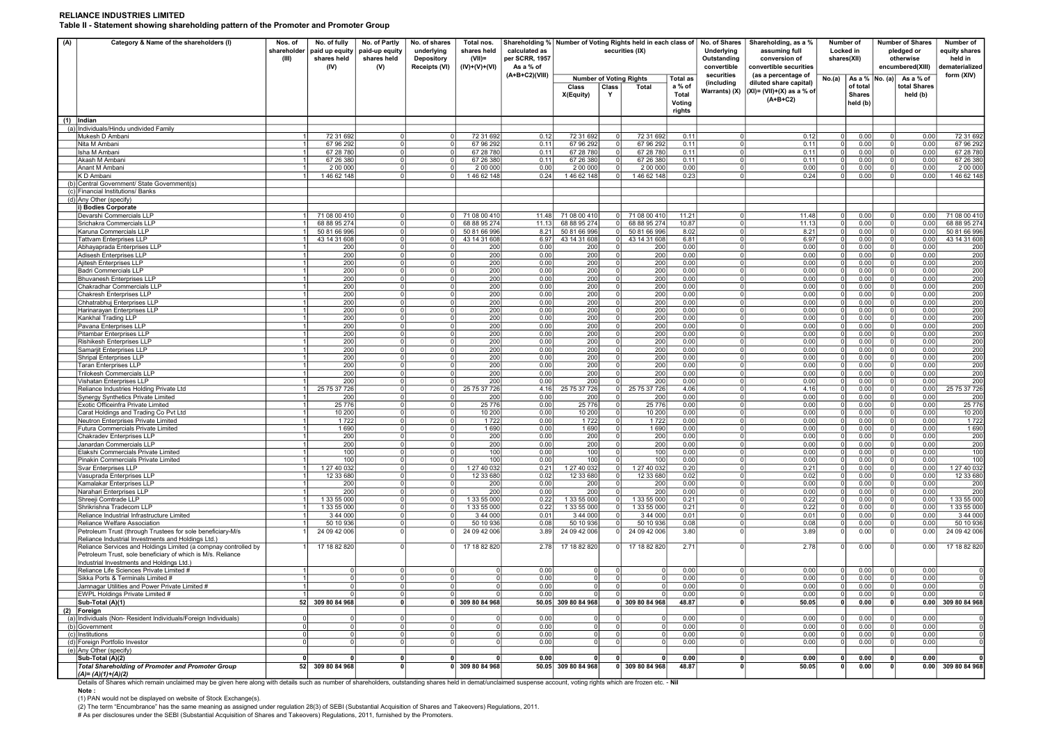# RELIANCE INDUSTRIES LIMITED Table II - Statement showing shareholding pattern of the Promoter and Promoter Group

Note : Details of Shares which remain unclaimed may be given here along with details such as number of shareholders, outstanding shares held in demat/unclaimed suspense account, voting rights which are frozen etc. - Nil

| (A) | Category & Name of the shareholders (I)                                                                                                              | Nos. of<br>shareholder<br>(III) | No. of fully<br>paid up equity<br>shares held<br>(IV) | No. of Partly<br>paid-up equity<br>shares held<br>(V) | Shareholding % Number of Voting Rights held in each class of<br>No. of shares<br>Total nos.<br>underlying<br>shares held<br>calculated as<br>securities (IX)<br>per SCRR, 1957<br><b>Depository</b><br>$(VII)$ =<br>As a % of<br>Receipts (VI)<br>(IV)+(V)+(VI) |                              |                | No. of Shares<br>Underlying<br>Outstanding<br>convertible | Shareholding, as a %<br>assuming full<br>conversion of<br>convertible securities |                                                | Number of<br>Locked in<br>shares(XII)                  |                          | <b>Number of Shares</b><br>pledged or<br>otherwise<br>encumbered(XIII)                                     | Number of<br>equity shares<br>held in<br>dematerialized |                                       |                    |                                       |                                  |
|-----|------------------------------------------------------------------------------------------------------------------------------------------------------|---------------------------------|-------------------------------------------------------|-------------------------------------------------------|-----------------------------------------------------------------------------------------------------------------------------------------------------------------------------------------------------------------------------------------------------------------|------------------------------|----------------|-----------------------------------------------------------|----------------------------------------------------------------------------------|------------------------------------------------|--------------------------------------------------------|--------------------------|------------------------------------------------------------------------------------------------------------|---------------------------------------------------------|---------------------------------------|--------------------|---------------------------------------|----------------------------------|
|     |                                                                                                                                                      |                                 |                                                       |                                                       |                                                                                                                                                                                                                                                                 |                              | (A+B+C2)(VIII) | <b>Class</b><br>X(Equity)                                 | Class<br>Y                                                                       | <b>Number of Voting Rights</b><br><b>Total</b> | <b>Total as</b><br>a % of<br>Total<br>Voting<br>rights | securities<br>(including | (as a percentage of<br>diluted share capital)<br>Warrants) (X) $ (X ) = (VII)+(X)$ as a % of<br>$(A+B+C2)$ | No.(a)                                                  | of total<br><b>Shares</b><br>held (b) | As a % $ No. (a) $ | As a % of<br>total Shares<br>held (b) | form (XIV)                       |
| (1) | <b>Indian</b>                                                                                                                                        |                                 |                                                       |                                                       |                                                                                                                                                                                                                                                                 |                              |                |                                                           |                                                                                  |                                                |                                                        |                          |                                                                                                            |                                                         |                                       |                    |                                       |                                  |
|     | (a) Individuals/Hindu undivided Family<br>Mukesh D Ambani                                                                                            |                                 | 72 31 692                                             |                                                       |                                                                                                                                                                                                                                                                 | 72 31 692                    | 0.12           | 72 31 692                                                 |                                                                                  | 72 31 692                                      | 0.11                                                   |                          | 0.12                                                                                                       | $\Omega$                                                | 0.00                                  | - O I              | 0.00                                  | 72 31 692                        |
|     | Nita M Ambani                                                                                                                                        |                                 | 67 96 292                                             |                                                       |                                                                                                                                                                                                                                                                 | 67 96 292                    | 0.11           | 67 96 292                                                 |                                                                                  | 67 96 292                                      | 0.11                                                   | $\Omega$                 | 0.11                                                                                                       | 0l                                                      | 0.00                                  | - 0 I              | 0.00                                  | 67 96 292                        |
|     | Isha M Ambani<br>Akash M Ambani                                                                                                                      |                                 | 67 28 780<br>67 26 380                                | - 0<br>$\Omega$                                       |                                                                                                                                                                                                                                                                 | 67 28 780<br>67 26 380       | 0.11<br>0.11   | 67 28 780<br>67 26 380                                    |                                                                                  | 67 28 780<br>67 26 380                         | 0.11<br>0.11                                           | $\Omega$<br>$\Omega$     | 0.11<br>0.11                                                                                               | - 0 I<br>- 0 I                                          | 0.00<br>0.00                          | - 0 I<br>- 0 I     | 0.00<br>0.00                          | 67 28 780<br>67 26 380           |
|     | Anant M Ambani                                                                                                                                       |                                 | 2 00 000                                              | $\Omega$                                              |                                                                                                                                                                                                                                                                 | 2 00 000                     | 0.00           | 2 00 000                                                  |                                                                                  | 2 00 000                                       | 0.00                                                   | $\Omega$                 | 0.00                                                                                                       | $\Omega$                                                | 0.00                                  | - 0 I              | 0.00                                  | 2 00 000                         |
|     | K D Ambani                                                                                                                                           |                                 | 146 62 148                                            |                                                       |                                                                                                                                                                                                                                                                 | 146 62 148                   | 0.24           | 146 62 148                                                |                                                                                  | 146 62 148                                     | 0.23                                                   |                          | 0.24                                                                                                       |                                                         | 0.00                                  |                    | 0.00                                  | 146 62 148                       |
|     | (b) Central Government/ State Government(s)<br>(c) Financial Institutions/ Banks                                                                     |                                 |                                                       |                                                       |                                                                                                                                                                                                                                                                 |                              |                |                                                           |                                                                                  |                                                |                                                        |                          |                                                                                                            |                                                         |                                       |                    |                                       |                                  |
|     | (d) Any Other (specify)                                                                                                                              |                                 |                                                       |                                                       |                                                                                                                                                                                                                                                                 |                              |                |                                                           |                                                                                  |                                                |                                                        |                          |                                                                                                            |                                                         |                                       |                    |                                       |                                  |
|     | i) Bodies Corporate                                                                                                                                  |                                 |                                                       |                                                       |                                                                                                                                                                                                                                                                 |                              |                |                                                           |                                                                                  |                                                |                                                        |                          |                                                                                                            |                                                         |                                       |                    |                                       |                                  |
|     | Devarshi Commercials LLP<br>Srichakra Commercials LLP                                                                                                |                                 | 71 08 00 410<br>68 88 95 274                          | $\Omega$<br>$\Omega$                                  |                                                                                                                                                                                                                                                                 | 71 08 00 410<br>68 88 95 274 | 11.48<br>11.13 | 71 08 00 410<br>68 88 95 274                              | $\Omega$                                                                         | 71 08 00 410<br>68 88 95 274                   | 11.21<br>10.87                                         | $\Omega$                 | 11.48<br>11.13                                                                                             | 0l                                                      | 0.00<br>0 I<br>0.00                   | -0 l<br> 0         | 0.00<br>0.00                          | 71 08 00 410<br>68 88 95 274     |
|     | Karuna Commercials LLP                                                                                                                               |                                 | 50 81 66 996                                          | $\Omega$                                              |                                                                                                                                                                                                                                                                 | 50 81 66 996                 | 8.21           | 50 81 66 996                                              | $\Omega$                                                                         | 50 81 66 996                                   | 8.02                                                   | $\Omega$                 | 8.21                                                                                                       | 0l                                                      | 0.00                                  | 0                  | 0.00                                  | 50 81 66 996                     |
|     | Tattvam Enterprises LLP                                                                                                                              |                                 | 43 14 31 608                                          | - 0                                                   |                                                                                                                                                                                                                                                                 | 43 14 31 608                 | 6.97           | 43 14 31 608                                              | $\Omega$                                                                         | 43 14 31 608                                   | 6.81                                                   | $\Omega$                 | 6.97                                                                                                       | 0l                                                      | 0.00                                  | -0 l               | 0.00                                  | 43 14 31 608                     |
|     | Abhayaprada Enterprises LLP<br>Adisesh Enterprises LLP                                                                                               |                                 | 200<br>200                                            | $\Omega$<br>$\Omega$                                  |                                                                                                                                                                                                                                                                 | 200<br>200                   | 0.00<br>0.00   | 200<br>200                                                | $\Omega$<br>$\Omega$                                                             | 200<br>200                                     | 0.00<br>0.00                                           | $\Omega$<br>$\Omega$     | 0.00<br>0.00                                                                                               | 0<br>0l                                                 | 0.00<br>0.00                          | 0 l<br>-o l        | 0.00<br>0.00                          | 200<br>200                       |
|     | Aiitesh Enterprises LLP                                                                                                                              |                                 | 200                                                   | $\cap$                                                |                                                                                                                                                                                                                                                                 | 200                          | 0.00           | 200                                                       | $\Omega$                                                                         | 200                                            | 0.00                                                   | $\Omega$                 | 0.00                                                                                                       | 0 I                                                     | 0.00                                  | - 0 I              | 0.00                                  | 200                              |
|     | Badri Commercials LLP                                                                                                                                |                                 | 200                                                   | $\Omega$                                              |                                                                                                                                                                                                                                                                 | 200                          | 0.00           | 200                                                       | $\Omega$                                                                         | 200                                            | 0.00                                                   | $\Omega$                 | 0.00                                                                                                       | 0l                                                      | 0.00                                  | - 0 I              | 0.00                                  | 200                              |
|     | <b>Bhuvanesh Enterprises LLP</b><br>Chakradhar Commercials LLP                                                                                       |                                 | 200<br>200                                            | $\Omega$<br>$\Omega$                                  |                                                                                                                                                                                                                                                                 | 200<br>200                   | 0.00<br>0.00   | 200<br>200                                                | $\Omega$<br>$\Omega$                                                             | 200<br>200                                     | 0.00<br>0.00                                           | $\Omega$<br>- O l        | 0.00<br>0.00                                                                                               | 0 I<br>0                                                | 0.00<br>0.00                          | -o l<br>-0 l       | 0.00<br>0.00                          | 200<br>200                       |
|     | Chakresh Enterprises LLP                                                                                                                             |                                 | 200                                                   | $\Omega$                                              |                                                                                                                                                                                                                                                                 | 200                          | 0.00           | 200                                                       | $\Omega$                                                                         | 200                                            | 0.00                                                   | $\Omega$                 | 0.00                                                                                                       | 0 I                                                     | 0.00                                  | -0 l               | 0.00                                  | 200                              |
|     | Chhatrabhuj Enterprises LLP                                                                                                                          |                                 | 200                                                   | $\Omega$                                              |                                                                                                                                                                                                                                                                 | 200                          | 0.00           | 200                                                       | $\Omega$                                                                         | 200                                            | 0.00                                                   | $\Omega$                 | 0.00                                                                                                       | -0 l                                                    | 0.00                                  | - 0 I              | 0.00                                  | 200                              |
|     | Harinarayan Enterprises LLP<br>Kankhal Trading LLP                                                                                                   |                                 | 200<br>200                                            | $\Omega$                                              |                                                                                                                                                                                                                                                                 | 200<br>200                   | 0.00<br>0.00   | 200<br>200                                                | $\Omega$<br>$\Omega$                                                             | 200<br>200                                     | 0.00<br>0.00                                           | $\Omega$<br>$\Omega$     | 0.00<br>0.00                                                                                               | 0 I<br>0l                                               | 0.00<br>0.00                          | - 0 I<br>-0 l      | 0.00<br>0.00                          | 200<br>200                       |
|     | Pavana Enterprises LLP                                                                                                                               |                                 | 200                                                   | $\Omega$                                              |                                                                                                                                                                                                                                                                 | 200                          | 0.00           | 200                                                       | -0 l                                                                             | 200                                            | 0.00                                                   | $\Omega$                 | 0.00                                                                                                       | 0l                                                      | 0.00                                  | -o l               | 0.00                                  | 200                              |
|     | <b>Pitambar Enterprises LLP</b>                                                                                                                      |                                 | 200                                                   | $\Omega$                                              |                                                                                                                                                                                                                                                                 | 200                          | 0.00           | 200                                                       | $\Omega$                                                                         | 200                                            | 0.00                                                   | $\Omega$                 | 0.00                                                                                                       | 0l                                                      | 0.00                                  | -0 l               | 0.00                                  | 200                              |
|     | Rishikesh Enterprises LLP<br>Samarjit Enterprises LLP                                                                                                |                                 | 200<br>200                                            | $\Omega$                                              |                                                                                                                                                                                                                                                                 | 200<br>200                   | 0.00<br>0.00   | 200<br>200                                                | $\Omega$<br>$\Omega$                                                             | 200<br>200                                     | 0.00<br>0.00                                           | $\Omega$<br>$\Omega$     | 0.00<br>0.00                                                                                               | $\Omega$<br>0l                                          | 0.00<br>0.00                          | - 0 I<br>-0 l      | 0.00<br>0.00                          | 200<br>200                       |
|     | Shripal Enterprises LLP                                                                                                                              |                                 | 200                                                   | $\Omega$                                              |                                                                                                                                                                                                                                                                 | 200                          | 0.00           | 200                                                       | $\Omega$                                                                         | 200                                            | 0.00                                                   | $\Omega$                 | 0.00                                                                                                       | 0l                                                      | 0.00                                  | -0 l               | 0.00                                  | 200                              |
|     | Taran Enterprises LLP                                                                                                                                |                                 | 200                                                   | $\Omega$                                              |                                                                                                                                                                                                                                                                 | 200                          | 0.00           | 200                                                       | $\Omega$                                                                         | 200                                            | 0.00                                                   | - O l                    | 0.00                                                                                                       | 0                                                       | 0.00                                  | -0 l               | 0.00                                  | 200                              |
|     | <b>Trilokesh Commercials LLP</b><br>Vishatan Enterprises LLP                                                                                         |                                 | 200<br>200                                            | $\Omega$<br>$\Omega$                                  |                                                                                                                                                                                                                                                                 | 200<br>200                   | 0.00<br>0.00   | 200<br>200                                                | $\Omega$                                                                         | 200<br>200                                     | 0.00<br>0.00                                           | $\Omega$<br>$\Omega$     | 0.00<br>0.00                                                                                               | $\Omega$<br>-0 l                                        | 0.00<br>0.00                          | -0 l<br>- 0 I      | 0.00<br>0.00                          | 200<br>200                       |
|     | Reliance Industries Holding Private Ltd                                                                                                              |                                 | 25 75 37 726                                          | $\Omega$                                              |                                                                                                                                                                                                                                                                 | 25 75 37 726                 | 4.16           | 25 75 37 726                                              | $\Omega$                                                                         | 25 75 37 726                                   | 4.06                                                   | $\Omega$                 | 4.16                                                                                                       | 0l                                                      | 0.00                                  | -0 l               | 0.00                                  | 25 75 37 726                     |
|     | Synergy Synthetics Private Limited                                                                                                                   |                                 | 200                                                   | $\Omega$                                              |                                                                                                                                                                                                                                                                 | 200                          | 0.00           | 200                                                       | $\Omega$                                                                         | 200                                            | 0.00                                                   | $\Omega$                 | 0.00                                                                                                       | 0l                                                      | 0.00                                  | -0 l               | 0.00                                  | 200                              |
|     | Exotic Officeinfra Private Limited<br>Carat Holdings and Trading Co Pvt Ltd                                                                          |                                 | 25 7 7 6<br>10 200                                    | $\Omega$<br>$\Omega$                                  |                                                                                                                                                                                                                                                                 | 25 7 7 6<br>10 200           | 0.00<br>0.00   | 25 7 7 6<br>10 200                                        | $\Omega$<br>$\overline{0}$                                                       | 25 776<br>10 200                               | 0.00<br>0.00                                           | $\Omega$<br>$\Omega$     | 0.00<br>0.00                                                                                               | 0l<br>$\Omega$                                          | 0.00<br>0.00                          | -0 l<br>-0 l       | 0.00<br>0.00                          | 25 7 7 6<br>10 200               |
|     | <b>Neutron Enterprises Private Limited</b>                                                                                                           |                                 | 1722                                                  | $\Omega$                                              |                                                                                                                                                                                                                                                                 | 1722                         | 0.00           | 1722                                                      | -o l                                                                             | 1722                                           | 0.00                                                   | $\Omega$                 | 0.00                                                                                                       | $\Omega$                                                | 0.00                                  | -o l               | 0.00                                  | 1722                             |
|     | Futura Commercials Private Limited                                                                                                                   |                                 | 1690                                                  | $\Omega$                                              |                                                                                                                                                                                                                                                                 | 1690                         | 0.00           | 1690                                                      |                                                                                  | 1690                                           | 0.00                                                   | $\Omega$                 | 0.00                                                                                                       |                                                         | 0 <br>0.00                            | 0                  | 0.00                                  | 1690                             |
|     | Chakradev Enterprises LLP<br>Janardan Commercials LLP                                                                                                |                                 | 200<br>200                                            | $\Omega$                                              |                                                                                                                                                                                                                                                                 | 200<br>200                   | 0.00<br>0.00   | 200<br>200                                                | - o l<br>$\overline{0}$                                                          | 200<br>200                                     | 0.00<br>0.00                                           | -o l                     | 0.00<br>0.00                                                                                               |                                                         | 0 <br>0.00<br> 0 <br>0.00             | 0 l<br>-0 l        | 0.00<br>0.00                          | 200<br>200                       |
|     | Elakshi Commercials Private Limited                                                                                                                  |                                 | 100                                                   | $\Omega$                                              |                                                                                                                                                                                                                                                                 | 100                          | 0.00           | 100                                                       | $\Omega$                                                                         | 100                                            | 0.00                                                   | $\Omega$                 | 0.00                                                                                                       | 0l                                                      | 0.00                                  | -0 l               | 0.00                                  | 100                              |
|     | Pinakin Commercials Private Limited<br>Svar Enterprises LLP                                                                                          |                                 | 100<br>1 27 40 032                                    | $\Omega$<br>$\Omega$                                  |                                                                                                                                                                                                                                                                 | 100<br>1 27 40 032           | 0.00<br>0.21   | 100<br>1 27 40 032                                        | 0 I                                                                              | 100<br>1 27 40 032                             | 0.00<br>0.20                                           | $\Omega$<br>$\Omega$     | 0.00<br>0.21                                                                                               | 0l<br>0l                                                | 0.00<br>0.00                          | -0 l<br> 0         | 0.00<br>0.00                          | 100<br>1 27 40 032               |
|     | Vasuprada Enterprises LLP                                                                                                                            |                                 | 12 33 680                                             | $\Omega$                                              |                                                                                                                                                                                                                                                                 | 12 33 680                    | 0.02           | 12 33 680                                                 | $\Omega$                                                                         | 12 33 680                                      | 0.02                                                   | -o l                     | 0.02                                                                                                       | 0                                                       | 0.00                                  | -0 l               | 0.00                                  | 12 33 680                        |
|     | Kamalakar Enterprises LLP                                                                                                                            |                                 | 200                                                   | $\Omega$                                              |                                                                                                                                                                                                                                                                 | 200                          | 0.00           | 200                                                       | - O I                                                                            | 200                                            | 0.00                                                   | $\Omega$                 | 0.00                                                                                                       |                                                         | 0 I<br>0.00                           | 0                  | 0.00                                  | 200                              |
|     | Narahari Enterprises LLP<br>Shreeji Comtrade LLP                                                                                                     |                                 | 200<br>1 33 55 000                                    | $\Omega$                                              |                                                                                                                                                                                                                                                                 | 200<br>1 33 55 000           | 0.00<br>0.22   | 200<br>1 33 55 000                                        | $\Omega$                                                                         | 200<br>1 33 55 000                             | 0.00<br>0.21                                           | $\Omega$<br>$\Omega$     | 0.00<br>0.22                                                                                               | 0l<br>0l                                                | 0.00<br>0.00                          | -0 l<br>-0 l       | 0.00<br>0.00                          | 200<br>1 33 55 000               |
|     | Shrikrishna Tradecom LLP                                                                                                                             |                                 | 1 33 55 000                                           | $\Omega$                                              |                                                                                                                                                                                                                                                                 | 1 33 55 000                  | 0.22           | 1 33 55 000                                               |                                                                                  | 1 33 55 000                                    | 0.21                                                   | $\Omega$                 | 0.22                                                                                                       | 0l                                                      | 0.00                                  | -0 l               | 0.00                                  | 1 33 55 000                      |
|     | Reliance Industrial Infrastructure Limited                                                                                                           |                                 | 3 44 000                                              | $\Omega$                                              |                                                                                                                                                                                                                                                                 | 3 44 000                     | 0.01           | 344 000                                                   | - 0 I                                                                            | 3 44 000                                       | 0.01                                                   | $\Omega$                 | 0.01                                                                                                       | 0l                                                      | 0.00                                  | 0                  | 0.00                                  | 3 44 000                         |
|     | Reliance Welfare Association<br>Petroleum Trust (through Trustees for sole beneficiary-M/s                                                           |                                 | 50 10 936<br>24 09 42 006                             | $\Omega$                                              |                                                                                                                                                                                                                                                                 | 50 10 936<br>24 09 42 006    | 0.08<br>3.89   | 50 10 936<br>24 09 42 006                                 | -0 l                                                                             | 50 10 936<br>24 09 42 006                      | 0.08<br>3.80                                           | $\Omega$                 | 0.08<br>3.89                                                                                               | 0l                                                      | 0.00<br>0.00                          | 0 <br>$\Omega$     | 0.00<br>0.00                          | 50 10 936<br>24 09 42 006        |
|     | Reliance Industrial Investments and Holdings Ltd.)<br>Reliance Services and Holdings Limited (a compnay controlled by                                |                                 | 17 18 82 820                                          |                                                       |                                                                                                                                                                                                                                                                 | 17 18 82 820                 |                | 2.78 17 18 82 820                                         |                                                                                  | 17 18 82 820<br>0 <sup>1</sup>                 | 2.71                                                   |                          | 2.78                                                                                                       |                                                         | 0.00                                  |                    | 0.00                                  | 17 18 82 820                     |
|     | Petroleum Trust, sole beneficiary of which is M/s. Reliance<br>Industrial Investments and Holdings Ltd.)<br>Reliance Life Sciences Private Limited # |                                 | $\Omega$                                              | $\Omega$                                              | $\Omega$                                                                                                                                                                                                                                                        | $\Omega$                     | 0.00           | - 0 I                                                     | $\overline{0}$                                                                   |                                                | 0.00                                                   | $\Omega$                 | 0.00                                                                                                       |                                                         | 0.00<br> 0                            | -0 l               | 0.00                                  | $\Omega$                         |
|     | Sikka Ports & Terminals Limited #                                                                                                                    |                                 |                                                       |                                                       |                                                                                                                                                                                                                                                                 |                              | 0.00           | 0 I                                                       | $\Omega$                                                                         |                                                | 0.00                                                   | $\Omega$                 | 0.00                                                                                                       | 0 I                                                     | 0.00                                  | -0 l               | 0.00                                  | $\Omega$                         |
|     | Jamnagar Utilities and Power Private Limited #                                                                                                       |                                 | $\Omega$                                              | $\Omega$                                              |                                                                                                                                                                                                                                                                 | $\Omega$                     | 0.00           | 0 <sup>1</sup>                                            | $\Omega$                                                                         |                                                | 0.00                                                   | $\Omega$                 | 0.00                                                                                                       | 0l                                                      | 0.00                                  | -0 l               | 0.00                                  | $\Omega$                         |
|     | <b>EWPL Holdings Private Limited #</b><br>Sub-Total (A)(1)                                                                                           |                                 | 52 309 80 84 968                                      | $\Omega$<br>$\Omega$                                  |                                                                                                                                                                                                                                                                 | $\Omega$<br>0 309 80 84 968  | 0.00           | 0 <sup>1</sup><br>50.05 309 80 84 968                     | $\Omega$                                                                         | 0 309 80 84 968                                | 0.00<br>48.87                                          | $\Omega$<br>$\Omega$     | 0.00<br>50.05                                                                                              | 0l<br>- 0 I                                             | 0.00<br>0.00                          | 0 <br>- 0 I        | 0.00                                  | $\Omega$<br>$0.00$ 309 80 84 968 |
|     | $(2)$ Foreign                                                                                                                                        |                                 |                                                       |                                                       |                                                                                                                                                                                                                                                                 |                              |                |                                                           |                                                                                  |                                                |                                                        |                          |                                                                                                            |                                                         |                                       |                    |                                       |                                  |
|     | (a) Individuals (Non-Resident Individuals/Foreign Individuals)                                                                                       |                                 |                                                       |                                                       |                                                                                                                                                                                                                                                                 |                              | 0.00           | 0l                                                        |                                                                                  |                                                | 0.00                                                   |                          | 0.00                                                                                                       | 0 I                                                     | 0.00                                  | $\Omega$           | 0.00                                  | $\Omega$                         |
|     | (b) Government<br>(c) Institutions                                                                                                                   |                                 |                                                       |                                                       |                                                                                                                                                                                                                                                                 |                              | 0.00<br>0.00   | 0<br>0                                                    |                                                                                  |                                                | 0.00<br>0.00                                           |                          | 0.00<br>0.00                                                                                               | $\Omega$                                                | 0.00<br>0.00                          | $\Omega$           | 0.00<br>0.00                          | $\Omega$<br>$\Omega$             |
|     | (d) Foreign Portfolio Investor                                                                                                                       |                                 |                                                       |                                                       |                                                                                                                                                                                                                                                                 |                              | 0.00           | ΩI                                                        | $\Omega$                                                                         |                                                | 0.00                                                   |                          | 0.00                                                                                                       | 0                                                       | 0.00                                  | $\Omega$           | 0.00                                  | $\Omega$                         |
|     | (e) Any Other (specify)                                                                                                                              |                                 |                                                       |                                                       |                                                                                                                                                                                                                                                                 |                              |                |                                                           |                                                                                  |                                                |                                                        |                          |                                                                                                            |                                                         |                                       |                    |                                       |                                  |
|     | Sub-Total (A)(2)<br><b>Total Shareholding of Promoter and Promoter Group</b><br>$(A)=(A)(1)+(A)(2)$                                                  |                                 | 52 309 80 84 968                                      | 0<br>$\Omega$                                         |                                                                                                                                                                                                                                                                 | 0 309 80 84 968              | 0.00           | O.<br>50.05 309 80 84 968                                 |                                                                                  | $0$   309 80 84 968                            | 0.00<br>48.87                                          | ŋ                        | 0.00<br>50.05                                                                                              | - 0 I<br>- 0 I                                          | 0.00<br>0.00                          | - 0 I<br>- 0 I     | 0.00                                  | $0.00$ 309 80 84 968             |

# As per disclosures under the SEBI (Substantial Acquisition of Shares and Takeovers) Regulations, 2011, furnished by the Promoters.

(2) The term "Encumbrance" has the same meaning as assigned under regulation 28(3) of SEBI (Substantial Acquisition of Shares and Takeovers) Regulations, 2011.

(1) PAN would not be displayed on website of Stock Exchange(s).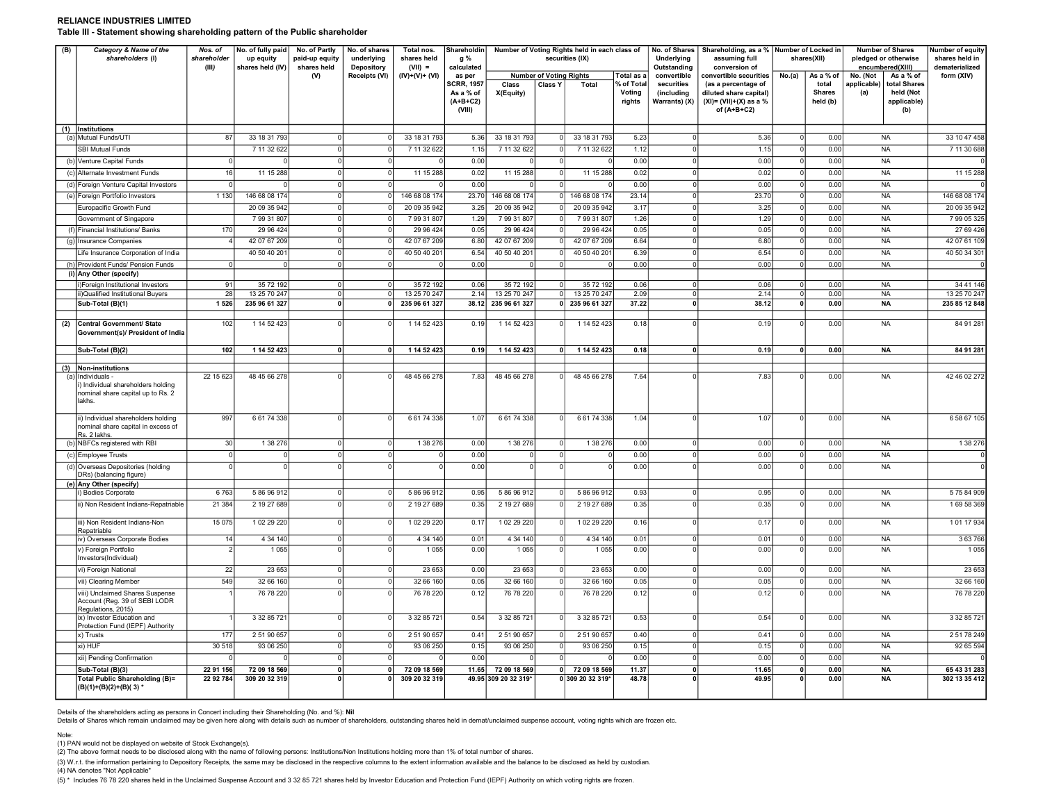#### RELIANCE INDUSTRIES LIMITED Table III - Statement showing shareholding pattern of the Public shareholder

| (B)<br>Category & Name of the<br>shareholders (I) |                                                                                           | Nos. of<br>shareholder<br>(III) | No. of fully paid<br>up equity<br>shares held (IV) | No. of Partly<br>paid-up equity<br>shares held | No. of shares<br>underlying<br>Depository |                               | Total nos.<br>shares held<br>$(VII) =$   |                               | Shareholdin<br>g %<br>calculated          |                               |                                    | Number of Voting Rights held in each class of<br>securities (IX) |                                                                         | No. of Shares<br>Underlying<br>Outstanding | Shareholding, as a % Number of Locked in<br>assuming full<br>conversion of |                                                                          | shares(XII)                   | <b>Number of Shares</b><br>pledged or otherwise<br>encumbered(XIII) | Number of equity<br>shares held in<br>dematerialized |
|---------------------------------------------------|-------------------------------------------------------------------------------------------|---------------------------------|----------------------------------------------------|------------------------------------------------|-------------------------------------------|-------------------------------|------------------------------------------|-------------------------------|-------------------------------------------|-------------------------------|------------------------------------|------------------------------------------------------------------|-------------------------------------------------------------------------|--------------------------------------------|----------------------------------------------------------------------------|--------------------------------------------------------------------------|-------------------------------|---------------------------------------------------------------------|------------------------------------------------------|
|                                                   |                                                                                           |                                 |                                                    | (V)                                            | Receipts (VI)                             | $(IV)+(V)+(VI)$               | as per<br><b>SCRR, 1957</b><br>As a % of | Class<br>X(Equity)            | <b>Number of Voting Rights</b><br>Class Y | Total                         | Total as a<br>% of Total<br>Voting | convertible<br>securities<br>(including                          | convertible securities<br>(as a percentage of<br>diluted share capital) | No.(a)                                     | As a % of<br>total<br><b>Shares</b>                                        | No. (Not<br>As a % of<br>applicable)<br>total Shares<br>held (Not<br>(a) | form (XIV)                    |                                                                     |                                                      |
|                                                   |                                                                                           |                                 |                                                    |                                                |                                           |                               | $(A+B+C2)$<br>(VIII)                     |                               |                                           |                               | rights                             | Warrants) (X)                                                    | $(XI) = (VII)+(X)$ as a %<br>of $(A+B+C2)$                              |                                            | held (b)                                                                   | applicable)<br>(b)                                                       |                               |                                                                     |                                                      |
|                                                   | (1) Institutions<br>(a) Mutual Funds/UTI                                                  | 87                              | 33 18 31 793                                       |                                                | $\Omega$                                  | 33 18 31 793                  | 5.36                                     | 33 18 31 793                  |                                           | 33 18 31 793                  | 5.23                               |                                                                  | 5.36                                                                    |                                            | 0.00                                                                       | <b>NA</b>                                                                | 33 10 47 458                  |                                                                     |                                                      |
|                                                   | <b>SBI Mutual Funds</b>                                                                   |                                 | 7 11 32 622                                        | $\Omega$                                       | $\Omega$                                  | 7 11 32 622                   | 1.15                                     | 7 11 32 622                   | 0                                         | 7 11 32 622                   | 1.12                               | $\Omega$                                                         | 1.15                                                                    | $\Omega$                                   | 0.00                                                                       | <b>NA</b>                                                                | 7 11 30 688                   |                                                                     |                                                      |
|                                                   | (b) Venture Capital Funds                                                                 |                                 |                                                    |                                                | $\epsilon$                                |                               | 0.00                                     |                               |                                           |                               | 0.00                               |                                                                  | 0.00                                                                    | $\epsilon$                                 | 0.00                                                                       | <b>NA</b>                                                                |                               |                                                                     |                                                      |
|                                                   | (c) Alternate Investment Funds                                                            | 16                              | 11 15 288                                          | $\Omega$                                       | $\Omega$                                  | 11 15 288                     | 0.02                                     | 11 15 288                     | $\mathbf 0$                               | 11 15 288                     | 0.02                               |                                                                  | 0.02                                                                    | $\Omega$                                   | 0.00                                                                       | <b>NA</b>                                                                | 11 15 288                     |                                                                     |                                                      |
|                                                   | (d) Foreign Venture Capital Investors                                                     | $\Omega$                        |                                                    | $\cap$                                         | $\Omega$                                  |                               | 0.00                                     |                               |                                           |                               | 0.00                               | $\Omega$                                                         | 0.00                                                                    | $\Omega$                                   | 0.00                                                                       | <b>NA</b>                                                                |                               |                                                                     |                                                      |
|                                                   | (e) Foreign Portfolio Investors                                                           | 1 1 3 0                         | 146 68 08 174                                      | $\Omega$                                       |                                           | 146 68 08 174                 | 23.70                                    | 146 68 08 174                 |                                           | 146 68 08 174                 | 23.14                              |                                                                  | 23.70                                                                   | $\epsilon$                                 | 0.00                                                                       | <b>NA</b>                                                                | 146 68 08 174                 |                                                                     |                                                      |
|                                                   | Europacific Growth Fund                                                                   |                                 | 20 09 35 942                                       |                                                | $\Omega$                                  | 20 09 35 942                  | 3.25                                     | 20 09 35 942                  |                                           | 20 09 35 942                  | 3.17                               |                                                                  | 3.25                                                                    | $\Omega$                                   | 0.00                                                                       | <b>NA</b>                                                                | 20 09 35 942                  |                                                                     |                                                      |
|                                                   | Government of Singapore                                                                   |                                 | 79931807                                           |                                                | $\overline{0}$                            | 79931807                      | 1.29                                     | 79931807                      |                                           | 79931807                      | 1.26                               |                                                                  | 1.29                                                                    | $\Omega$                                   | 0.00                                                                       | <b>NA</b>                                                                | 79905325                      |                                                                     |                                                      |
|                                                   | (f) Financial Institutions/ Banks                                                         | 170                             | 29 96 424                                          |                                                | $\Omega$                                  | 29 96 424                     | 0.05                                     | 29 96 4 24                    |                                           | 29 96 424                     | 0.05                               |                                                                  | 0.05                                                                    | ſ                                          | 0.00                                                                       | <b>NA</b>                                                                | 27 69 426                     |                                                                     |                                                      |
|                                                   | (g) Insurance Companies                                                                   |                                 | 42 07 67 209                                       | $\Omega$                                       | C                                         | 42 07 67 209                  | 6.80                                     | 42 07 67 209                  |                                           | 42 07 67 209                  | 6.64                               | $\Omega$                                                         | 6.80                                                                    | $\sqrt{ }$                                 | 0.00                                                                       | <b>NA</b>                                                                | 42 07 61 109                  |                                                                     |                                                      |
|                                                   | Life Insurance Corporation of India                                                       |                                 | 40 50 40 201                                       | $\Omega$                                       | $\Omega$                                  | 40 50 40 201                  | 6.54                                     | 40 50 40 201                  |                                           | 40 50 40 201                  | 6.39                               | $\Omega$                                                         | 6.54                                                                    | $\Omega$                                   | 0.00                                                                       | <b>NA</b>                                                                | 40 50 34 301                  |                                                                     |                                                      |
|                                                   | (h) Provident Funds/ Pension Funds                                                        | $\Omega$                        |                                                    |                                                | $\Omega$                                  |                               | 0.00                                     | $\Omega$                      | $\Omega$                                  |                               | 0.00                               | $\Omega$                                                         | 0.00                                                                    | $\Omega$                                   | 0.00                                                                       | <b>NA</b>                                                                |                               |                                                                     |                                                      |
|                                                   | (i) Any Other (specify)                                                                   |                                 |                                                    |                                                |                                           |                               |                                          |                               |                                           |                               |                                    |                                                                  |                                                                         |                                            |                                                                            |                                                                          |                               |                                                                     |                                                      |
|                                                   | i)Foreign Institutional Investors                                                         | 91                              | 35 72 192                                          | $\Omega$                                       | $\Omega$                                  | 35 72 192                     | 0.06                                     | 35 72 192                     | $\Omega$                                  | 35 72 192                     | 0.06                               | $\Omega$                                                         | 0.06                                                                    | $\Omega$                                   | 0.00                                                                       | <b>NA</b>                                                                | 34 41 146                     |                                                                     |                                                      |
|                                                   | i)Qualified Institutional Buyers<br>Sub-Total (B)(1)                                      | 28<br>1526                      | 13 25 70 247<br>235 96 61 327                      | $\overline{0}$<br>$\Omega$                     | $\overline{0}$<br>$\mathbf{0}$            | 13 25 70 247<br>235 96 61 327 | 2.14<br>38.12                            | 13 25 70 247<br>235 96 61 327 | $\overline{0}$                            | 13 25 70 247<br>235 96 61 327 | 2.09<br>37.22                      | $\overline{0}$<br>$\mathbf{0}$                                   | 2.14<br>38.12                                                           | $\Omega$<br>$\mathbf 0$                    | 0.00<br>0.00                                                               | <b>NA</b><br><b>NA</b>                                                   | 13 25 70 247<br>235 85 12 848 |                                                                     |                                                      |
|                                                   |                                                                                           |                                 |                                                    |                                                |                                           |                               |                                          |                               |                                           |                               |                                    |                                                                  |                                                                         |                                            |                                                                            |                                                                          |                               |                                                                     |                                                      |
| (2)                                               | Central Government/ State<br>Government(s)/ President of India                            | 102                             | 1 14 52 423                                        |                                                |                                           | 1 14 52 423                   | 0.19                                     | 1 14 52 423                   |                                           | 1 14 52 423                   | 0.18                               |                                                                  | 0.19                                                                    |                                            | 0.00                                                                       | <b>NA</b>                                                                | 84 91 281                     |                                                                     |                                                      |
|                                                   | Sub-Total (B)(2)                                                                          | 102                             | 1 14 52 423                                        | <sup>0</sup>                                   | $\mathbf{0}$                              | 1 14 52 423                   | 0.19                                     | 1 14 52 423                   | ٥I                                        | 1 14 52 423                   | 0.18                               | $\mathbf{0}$                                                     | 0.19                                                                    | $\Omega$                                   | 0.00                                                                       | <b>NA</b>                                                                | 84 91 281                     |                                                                     |                                                      |
|                                                   |                                                                                           |                                 |                                                    |                                                |                                           |                               |                                          |                               |                                           |                               |                                    |                                                                  |                                                                         |                                            |                                                                            |                                                                          |                               |                                                                     |                                                      |
|                                                   | (3) Non-institutions<br>(a) Individuals -                                                 | 22 15 623                       | 48 45 66 278                                       |                                                | $\Omega$                                  | 48 45 66 278                  | 7.83                                     | 48 45 66 278                  |                                           | 48 45 66 278                  | 7.64                               |                                                                  | 7.83                                                                    | $\mathsf{C}$                               | 0.00                                                                       | <b>NA</b>                                                                | 42 46 02 272                  |                                                                     |                                                      |
|                                                   | Individual shareholders holding<br>nominal share capital up to Rs. 2<br>lakhs.            |                                 |                                                    |                                                |                                           |                               |                                          |                               |                                           |                               |                                    |                                                                  |                                                                         |                                            |                                                                            |                                                                          |                               |                                                                     |                                                      |
|                                                   | ii) Individual shareholders holding<br>nominal share capital in excess of<br>Rs. 2 lakhs. | 997                             | 66174338                                           | $\Omega$                                       | $\Omega$                                  | 6 61 74 338                   | 1.07                                     | 66174338                      | $\Omega$                                  | 66174338                      | 1.04                               |                                                                  | 1.07                                                                    |                                            | 0.00                                                                       | <b>NA</b>                                                                | 6 58 67 105                   |                                                                     |                                                      |
|                                                   | (b) NBFCs registered with RBI                                                             | 30                              | 1 38 276                                           |                                                | $\Omega$                                  | 1 38 276                      | 0.00                                     | 1 38 276                      | $\Omega$                                  | 1 38 276                      | 0.00                               | $\Omega$                                                         | 0.00                                                                    |                                            | 0.00                                                                       | <b>NA</b>                                                                | 1 38 276                      |                                                                     |                                                      |
|                                                   | (c) Employee Trusts                                                                       | $\Omega$                        | $\Omega$                                           | $\Omega$                                       | $\Omega$                                  |                               | 0.00                                     | $\mathbf 0$                   | $\Omega$                                  |                               | 0.00                               | $\Omega$                                                         | 0.00                                                                    | $\Omega$                                   | 0.00                                                                       | <b>NA</b>                                                                |                               |                                                                     |                                                      |
|                                                   | (d) Overseas Depositories (holding<br>DRs) (balancing figure)<br>(e) Any Other (specify)  |                                 |                                                    |                                                |                                           |                               | 0.00                                     | $\Omega$                      |                                           |                               | 0.00                               |                                                                  | 0.00                                                                    |                                            | 0.00                                                                       | <b>NA</b>                                                                |                               |                                                                     |                                                      |
|                                                   | ) Bodies Corporate                                                                        | 6763                            | 5 86 96 912                                        |                                                | $\Omega$                                  | 5 86 96 912                   | 0.95                                     | 58696912                      |                                           | 58696912                      | 0.93                               |                                                                  | 0.95                                                                    | $\Omega$                                   | 0.00                                                                       | <b>NA</b>                                                                | 575 84 909                    |                                                                     |                                                      |
|                                                   | i) Non Resident Indians-Repatriable                                                       | 21 3 84                         | 2 19 27 689                                        |                                                | -C                                        | 2 19 27 689                   | 0.35                                     | 2 19 27 689                   |                                           | 2 19 27 689                   | 0.35                               |                                                                  | 0.35                                                                    | $\Omega$                                   | 0.00                                                                       | <b>NA</b>                                                                | 169 58 369                    |                                                                     |                                                      |
|                                                   | iii) Non Resident Indians-Non<br>Repatriable                                              | 15 0 75                         | 102 29 220                                         | $\Omega$                                       | $\Omega$                                  | 1 02 29 220                   | 0.17                                     | 1 02 29 220                   |                                           | 1 02 29 220                   | 0.16                               | $\Omega$                                                         | 0.17                                                                    | $\Omega$                                   | 0.00                                                                       | <b>NA</b>                                                                | 101 17 934                    |                                                                     |                                                      |
|                                                   | iv) Overseas Corporate Bodies                                                             | 14                              | 4 34 140                                           | $\Omega$                                       | $\Omega$                                  | 4 34 140                      | 0.01                                     | 4 34 140                      | $\Omega$                                  | 4 34 140                      | 0.01                               | $\Omega$                                                         | 0.01                                                                    | $\Omega$                                   | 0.00                                                                       | <b>NA</b>                                                                | 3 63 766                      |                                                                     |                                                      |
|                                                   | v) Foreign Portfolio<br>Investors(Individual)                                             |                                 | 1 0 5 5                                            |                                                |                                           | 1 0 5 5                       | 0.00                                     | 1 0 5 5                       |                                           | 1 0 5 5                       | 0.00                               |                                                                  | 0.00                                                                    |                                            | 0.00                                                                       | <b>NA</b>                                                                | 1 0 5 5                       |                                                                     |                                                      |
|                                                   | vi) Foreign National                                                                      | 22                              | 23 653                                             |                                                |                                           | 23 653                        | 0.00                                     | 23 653                        |                                           | 23 653                        | 0.00                               |                                                                  | 0.00                                                                    |                                            | 0.00                                                                       | <b>NA</b>                                                                | 23 653                        |                                                                     |                                                      |
|                                                   | vii) Clearing Member                                                                      | 549                             | 32 66 160                                          | $\Omega$                                       | $\Omega$                                  | 32 66 160                     | 0.05                                     | 32 66 160                     | 0                                         | 32 66 160                     | 0.05                               | $\Omega$                                                         | 0.05                                                                    | $\Omega$                                   | 0.00                                                                       | <b>NA</b>                                                                | 32 66 160                     |                                                                     |                                                      |
|                                                   | viii) Unclaimed Shares Suspense<br>Account (Reg. 39 of SEBI LODR<br>Regulations, 2015)    |                                 | 76 78 220                                          |                                                | $\Omega$                                  | 76 78 220                     | 0.12                                     | 76 78 220                     | $\Omega$                                  | 76 78 220                     | 0.12                               |                                                                  | 0.12                                                                    | $\Omega$                                   | 0.00                                                                       | <b>NA</b>                                                                | 76 78 220                     |                                                                     |                                                      |
|                                                   | ix) Investor Education and<br>Protection Fund (IEPF) Authority                            |                                 | 3 32 85 721                                        |                                                |                                           | 3 32 85 721                   | 0.54                                     | 3 32 85 721                   |                                           | 3 32 85 721                   | 0.53                               |                                                                  | 0.54                                                                    |                                            | 0.00                                                                       | <b>NA</b>                                                                | 3 32 85 721                   |                                                                     |                                                      |
|                                                   | x) Trusts                                                                                 | 177                             | 2 51 90 657                                        | $\Omega$                                       | $\Omega$                                  | 2 51 90 657                   | 0.41                                     | 2 51 90 657                   | $\Omega$                                  | 2 51 90 65                    | 0.40                               | $\Omega$                                                         | 0.41                                                                    | $\Omega$                                   | 0.00                                                                       | <b>NA</b>                                                                | 25178249                      |                                                                     |                                                      |
|                                                   | xi) HUF                                                                                   | 30 518                          | 93 06 250                                          |                                                | $\Omega$                                  | 93 06 250                     | 0.15                                     | 93 06 250                     | $\Omega$                                  | 93 06 250                     | 0.15                               | $\Omega$                                                         | 0.15                                                                    | $\Omega$                                   | 0.00                                                                       | <b>NA</b>                                                                | 92 65 594                     |                                                                     |                                                      |
|                                                   | xii) Pending Confirmation                                                                 |                                 |                                                    |                                                | $\Omega$                                  |                               | 0.00                                     |                               |                                           |                               | 0.00                               | $\Omega$                                                         | 0.00                                                                    | ſ                                          | 0.00                                                                       | <b>NA</b>                                                                |                               |                                                                     |                                                      |
|                                                   | Sub-Total (B)(3)                                                                          | 22 91 156                       | 72 09 18 569                                       |                                                | $\mathbf{0}$                              | 72 09 18 569                  | 11.65                                    | 72 09 18 569                  | 0                                         | 72 09 18 569                  | 11.37                              | $\mathbf 0$                                                      | 11.65                                                                   |                                            | 0.00                                                                       | <b>NA</b>                                                                | 65 43 31 283                  |                                                                     |                                                      |
|                                                   | Total Public Shareholding (B)=<br>(B)(1)+(B)(2)+(B)(3) *                                  | 22 92 784                       | 309 20 32 319                                      |                                                | $\Omega$                                  | 309 20 32 319                 |                                          | 49.95 309 20 32 319*          |                                           | 0 309 20 32 319*              | 48.78                              |                                                                  | 49.95                                                                   | $\mathbf{0}$                               | 0.00                                                                       | NA                                                                       | 302 13 35 412                 |                                                                     |                                                      |

Details of the shareholders acting as persons in Concert including their Shareholding (No. and %): Nil

Details of Shares which remain unclaimed may be given here along with details such as number of shareholders, outstanding shares held in demat/unclaimed suspense account, voting rights which are frozen etc.

Note:

(1) PAN would not be displayed on website of Stock Exchange(s).<br>(2) The above format needs to be disclosed along with the name of following persons: Institutions/Non Institutions holding more than 1% of total number of sha

(3) W.r.t. the information pertaining to Depository Receipts, the same may be disclosed in the respective columns to the extent information available and the balance to be disclosed as held by custodian. (4) NA denotes "Not Applicable"

(5) \* Includes 76 78 220 shares held in the Unclaimed Suspense Account and 3 32 85 721 shares held by Investor Education and Protection Fund (IEPF) Authority on which voting rights are frozen.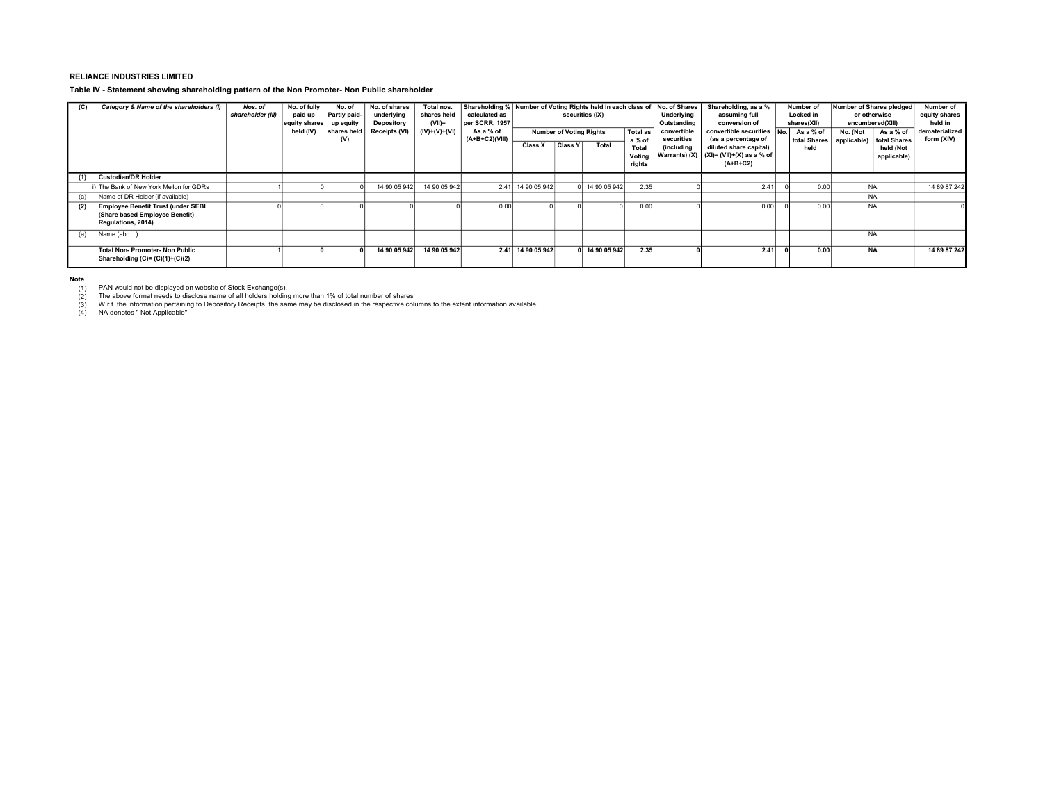### RELIANCE INDUSTRIES LIMITED

#### Table IV - Statement showing shareholding pattern of the Non Promoter- Non Public shareholder

| (C) | Category & Name of the shareholders (I)                                                    | Nos. of<br>shareholder (III) | No. of fully<br>paid up<br>equity shares<br>held (IV) | No. of<br>Partly paid-<br>up equity<br>shares held<br>(V) | No. of shares<br>underlying<br>Depository<br>Receipts (VI) | Total nos.<br>shares held<br>$(VII)$ =<br>$(IV)+(V)+(VI)$ | calculated as<br>per SCRR, 1957<br>As a % of<br>(A+B+C2)(VIII) | Shareholding % Number of Voting Rights held in each class of No. of Shares<br>securities (IX)<br><b>Total as</b><br><b>Number of Voting Rights</b><br>a % of |                | Underlying<br>Outstanding<br>convertible<br>securities | Shareholding, as a %<br>assuming full<br>conversion of<br>convertible securities<br>No.<br>(as a percentage of | Number of<br>Locked in<br>shares(XII)<br>As a % of<br>total Shares | Number of Shares pledged<br>or otherwise<br>encumbered(XIII)<br>No. (Not<br>applicable) | As a % of<br>total Shares | Number of<br>equity shares<br>held in<br>dematerialized<br>form (XIV) |                          |              |
|-----|--------------------------------------------------------------------------------------------|------------------------------|-------------------------------------------------------|-----------------------------------------------------------|------------------------------------------------------------|-----------------------------------------------------------|----------------------------------------------------------------|--------------------------------------------------------------------------------------------------------------------------------------------------------------|----------------|--------------------------------------------------------|----------------------------------------------------------------------------------------------------------------|--------------------------------------------------------------------|-----------------------------------------------------------------------------------------|---------------------------|-----------------------------------------------------------------------|--------------------------|--------------|
|     |                                                                                            |                              |                                                       |                                                           |                                                            |                                                           |                                                                | Class X                                                                                                                                                      | <b>Class Y</b> | Total                                                  | Total<br>Voting<br>rights                                                                                      | <i><b>(including)</b></i>                                          | diluted share capital)<br>Warrants) (X) $ (X )=(VII)+(X)$ as a % of<br>$(A+B+C2)$       | held                      |                                                                       | held (Not<br>applicable) |              |
| (1) | <b>Custodian/DR Holder</b>                                                                 |                              |                                                       |                                                           |                                                            |                                                           |                                                                |                                                                                                                                                              |                |                                                        |                                                                                                                |                                                                    |                                                                                         |                           |                                                                       |                          |              |
|     | The Bank of New York Mellon for GDRs                                                       |                              |                                                       |                                                           | 14 90 05 942                                               | 14 90 05 942                                              |                                                                | 2.41 14 90 05 942                                                                                                                                            |                | 14 90 05 942                                           | 2.35                                                                                                           |                                                                    | 2.41                                                                                    | 0.00                      | <b>NA</b>                                                             |                          | 14 89 87 242 |
| (a) | Name of DR Holder (if available)                                                           |                              |                                                       |                                                           |                                                            |                                                           |                                                                |                                                                                                                                                              |                |                                                        |                                                                                                                |                                                                    |                                                                                         |                           | <b>NA</b>                                                             |                          |              |
| (2) | Employee Benefit Trust (under SEBI<br>(Share based Employee Benefit)<br>Regulations, 2014) |                              |                                                       |                                                           |                                                            |                                                           | 0.00                                                           |                                                                                                                                                              |                |                                                        | 0.00                                                                                                           |                                                                    | 0.00                                                                                    | 0.00                      | <b>NA</b>                                                             |                          |              |
| (a) | Name (abc)                                                                                 |                              |                                                       |                                                           |                                                            |                                                           |                                                                |                                                                                                                                                              |                |                                                        |                                                                                                                |                                                                    |                                                                                         |                           | <b>NA</b>                                                             |                          |              |
|     | Total Non-Promoter-Non Public<br>Shareholding (C)= (C)(1)+(C)(2)                           |                              |                                                       |                                                           | 14 90 05 942                                               | 14 90 05 942                                              |                                                                | 2.41 14 90 05 942                                                                                                                                            |                | 14 90 05 942                                           | 2.35                                                                                                           |                                                                    | 2.41                                                                                    | 0.00                      | <b>NA</b>                                                             |                          | 14 89 87 242 |

<u>Note</u><br>— (1) PAN would not be displayed on website of Stock Exchange(s).<br>— (2) Phe above format needs to disclose name of all holders holding more than 1% of total number of shares

(1) PAN would not be displayed on website of Stock Exchange(s).<br>(2) The above format needs to disclose name of all holders holding more than 1% of total number of shares<br>(3) W.r.t. the information pertaining to Deposito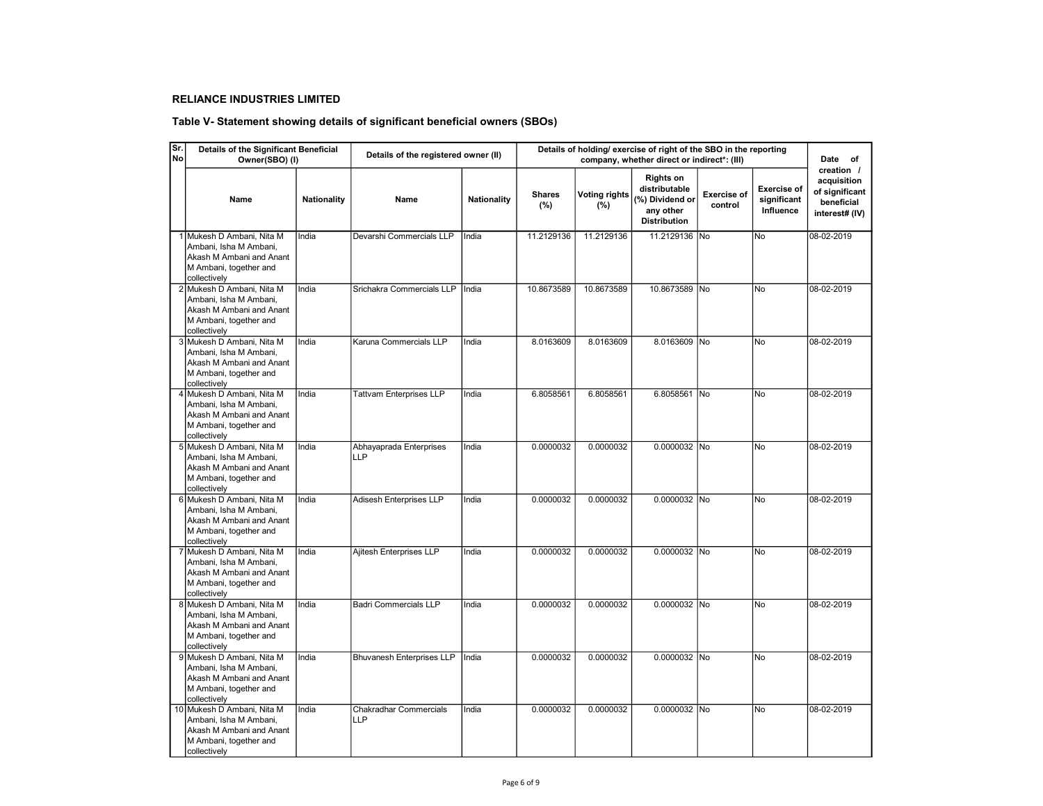# RELIANCE INDUSTRIES LIMITED

# Table V- Statement showing details of significant beneficial owners (SBOs)

| Sr.<br><b>No</b> | Details of the Significant Beneficial<br>Owner(SBO) (I)                                                                    |                    | Details of the registered owner (II) |                    | Details of holding/ exercise of right of the SBO in the reporting | Date of                     |                                                                                          |                               |                                                |                                                                             |
|------------------|----------------------------------------------------------------------------------------------------------------------------|--------------------|--------------------------------------|--------------------|-------------------------------------------------------------------|-----------------------------|------------------------------------------------------------------------------------------|-------------------------------|------------------------------------------------|-----------------------------------------------------------------------------|
|                  | Name                                                                                                                       | <b>Nationality</b> | Name                                 | <b>Nationality</b> | <b>Shares</b><br>(%)                                              | <b>Voting rights</b><br>(%) | <b>Rights on</b><br>distributable<br>(%) Dividend or<br>any other<br><b>Distribution</b> | <b>Exercise of</b><br>control | <b>Exercise of</b><br>significant<br>Influence | creation /<br>acquisition<br>of significant<br>beneficial<br>interest# (IV) |
|                  | 1 Mukesh D Ambani, Nita M<br>Ambani, Isha M Ambani,<br>Akash M Ambani and Anant<br>M Ambani, together and<br>collectively  | India              | Devarshi Commercials LLP             | India              | 11.2129136                                                        | 11.2129136                  | 11.2129136 No                                                                            |                               | No                                             | 08-02-2019                                                                  |
|                  | 2 Mukesh D Ambani, Nita M<br>Ambani, Isha M Ambani,<br>Akash M Ambani and Anant<br>M Ambani, together and<br>collectively  | India              | Srichakra Commercials LLP            | India              | 10.8673589                                                        | 10.8673589                  | 10.8673589 No                                                                            |                               | <b>No</b>                                      | 08-02-2019                                                                  |
|                  | 3 Mukesh D Ambani, Nita M<br>Ambani, Isha M Ambani,<br>Akash M Ambani and Anant<br>M Ambani, together and<br>collectively  | India              | Karuna Commercials LLP               | India              | 8.0163609                                                         | 8.0163609                   | 8.0163609 No                                                                             |                               | No                                             | 08-02-2019                                                                  |
|                  | 4 Mukesh D Ambani, Nita M<br>Ambani, Isha M Ambani,<br>Akash M Ambani and Anant<br>M Ambani, together and<br>collectively  | India              | <b>Tattvam Enterprises LLP</b>       | India              | 6.8058561                                                         | 6.8058561                   | 6.8058561 No                                                                             |                               | No                                             | 08-02-2019                                                                  |
|                  | 5 Mukesh D Ambani, Nita M<br>Ambani, Isha M Ambani,<br>Akash M Ambani and Anant<br>M Ambani, together and<br>collectively  | India              | Abhayaprada Enterprises<br>LLP       | India              | 0.0000032                                                         | 0.0000032                   | 0.0000032 No                                                                             |                               | <b>No</b>                                      | 08-02-2019                                                                  |
|                  | 6 Mukesh D Ambani, Nita M<br>Ambani, Isha M Ambani,<br>Akash M Ambani and Anant<br>M Ambani, together and<br>collectively  | India              | Adisesh Enterprises LLP              | India              | 0.0000032                                                         | 0.0000032                   | 0.0000032 No                                                                             |                               | <b>No</b>                                      | 08-02-2019                                                                  |
|                  | 7 Mukesh D Ambani, Nita M<br>Ambani, Isha M Ambani,<br>Akash M Ambani and Anant<br>M Ambani, together and<br>collectively  | India              | Ajitesh Enterprises LLP              | India              | 0.0000032                                                         | 0.0000032                   | 0.0000032 No                                                                             |                               | <b>No</b>                                      | 08-02-2019                                                                  |
|                  | 8 Mukesh D Ambani, Nita M<br>Ambani, Isha M Ambani,<br>Akash M Ambani and Anant<br>M Ambani, together and<br>collectively  | India              | <b>Badri Commercials LLP</b>         | India              | 0.0000032                                                         | 0.0000032                   | 0.0000032 No                                                                             |                               | No                                             | 08-02-2019                                                                  |
|                  | 9 Mukesh D Ambani, Nita M<br>Ambani, Isha M Ambani,<br>Akash M Ambani and Anant<br>M Ambani, together and<br>collectively  | India              | <b>Bhuvanesh Enterprises LLP</b>     | India              | 0.0000032                                                         | 0.0000032                   | 0.0000032 No                                                                             |                               | No                                             | 08-02-2019                                                                  |
|                  | 10 Mukesh D Ambani, Nita M<br>Ambani, Isha M Ambani,<br>Akash M Ambani and Anant<br>M Ambani, together and<br>collectively | India              | <b>Chakradhar Commercials</b><br>LLP | India              | 0.0000032                                                         | 0.0000032                   | 0.0000032 No                                                                             |                               | No                                             | 08-02-2019                                                                  |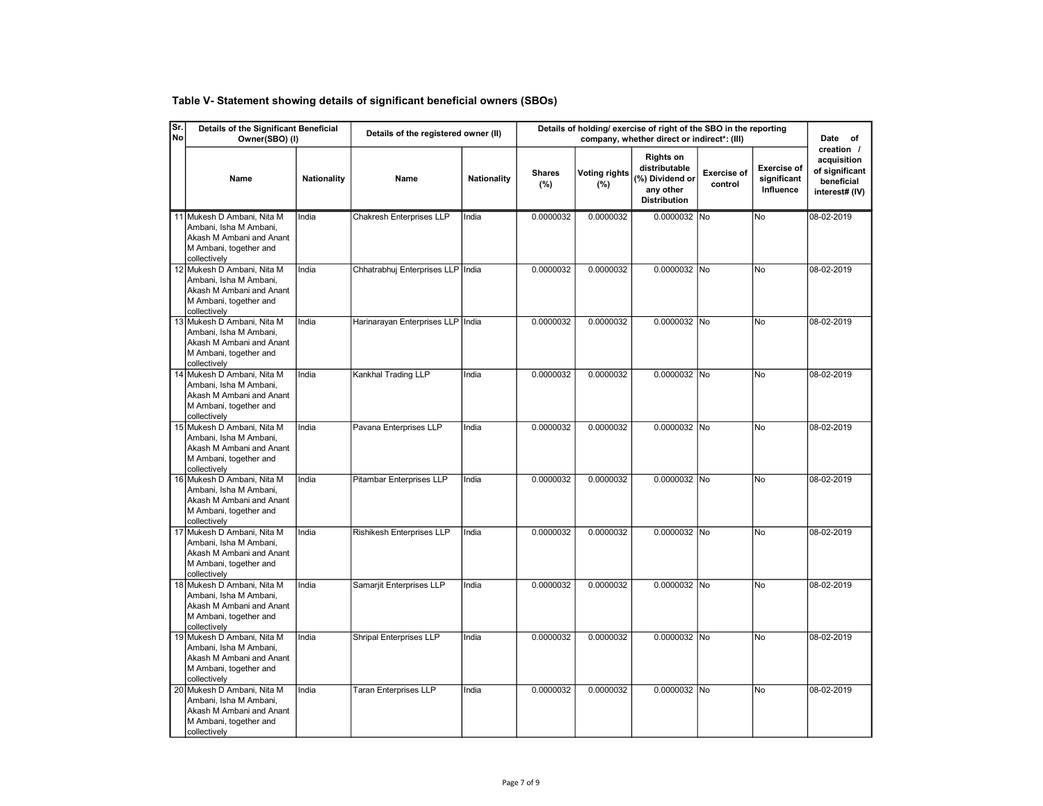| Table V- Statement showing details of significant beneficial owners (SBOs) |
|----------------------------------------------------------------------------|
|                                                                            |

| Sr.<br><b>No</b> | Details of the Significant Beneficial<br>Owner(SBO) (I)                                                                    |                    | Details of the registered owner (II) |                    | Details of holding/ exercise of right of the SBO in the reporting |                             | Date of                                                                                  |                               |                                                |                                                                             |
|------------------|----------------------------------------------------------------------------------------------------------------------------|--------------------|--------------------------------------|--------------------|-------------------------------------------------------------------|-----------------------------|------------------------------------------------------------------------------------------|-------------------------------|------------------------------------------------|-----------------------------------------------------------------------------|
|                  | Name                                                                                                                       | <b>Nationality</b> | Name                                 | <b>Nationality</b> | <b>Shares</b><br>$(\% )$                                          | <b>Voting rights</b><br>(%) | <b>Rights on</b><br>distributable<br>(%) Dividend or<br>any other<br><b>Distribution</b> | <b>Exercise of</b><br>control | <b>Exercise of</b><br>significant<br>Influence | creation /<br>acquisition<br>of significant<br>beneficial<br>interest# (IV) |
|                  | 11 Mukesh D Ambani, Nita M<br>Ambani, Isha M Ambani,<br>Akash M Ambani and Anant<br>M Ambani, together and<br>collectively | India              | Chakresh Enterprises LLP             | India              | 0.0000032                                                         | 0.0000032                   | 0.0000032 No                                                                             |                               | No                                             | 08-02-2019                                                                  |
|                  | 12 Mukesh D Ambani, Nita M<br>Ambani, Isha M Ambani,<br>Akash M Ambani and Anant<br>M Ambani, together and<br>collectively | India              | Chhatrabhuj Enterprises LLP India    |                    | 0.0000032                                                         | 0.0000032                   | 0.0000032 No                                                                             |                               | No                                             | 08-02-2019                                                                  |
|                  | 13 Mukesh D Ambani, Nita M<br>Ambani, Isha M Ambani,<br>Akash M Ambani and Anant<br>M Ambani, together and<br>collectively | India              | Harinarayan Enterprises LLP   India  |                    | 0.0000032                                                         | 0.0000032                   | 0.0000032 No                                                                             |                               | No                                             | 08-02-2019                                                                  |
|                  | 14 Mukesh D Ambani, Nita M<br>Ambani, Isha M Ambani,<br>Akash M Ambani and Anant<br>M Ambani, together and<br>collectively | India              | Kankhal Trading LLP                  | India              | 0.0000032                                                         | 0.0000032                   | 0.0000032 No                                                                             |                               | No                                             | 08-02-2019                                                                  |
|                  | 15 Mukesh D Ambani, Nita M<br>Ambani, Isha M Ambani,<br>Akash M Ambani and Anant<br>M Ambani, together and<br>collectively | India              | Pavana Enterprises LLP               | India              | 0.0000032                                                         | 0.0000032                   | 0.0000032 No                                                                             |                               | No                                             | 08-02-2019                                                                  |
|                  | 16 Mukesh D Ambani, Nita M<br>Ambani, Isha M Ambani,<br>Akash M Ambani and Anant<br>M Ambani, together and<br>collectively | India              | Pitambar Enterprises LLP             | India              | 0.0000032                                                         | 0.0000032                   | 0.0000032 No                                                                             |                               | No                                             | 08-02-2019                                                                  |
|                  | 17 Mukesh D Ambani, Nita M<br>Ambani, Isha M Ambani,<br>Akash M Ambani and Anant<br>M Ambani, together and<br>collectively | India              | Rishikesh Enterprises LLP            | India              | 0.0000032                                                         | 0.0000032                   | 0.0000032 No                                                                             |                               | No                                             | 08-02-2019                                                                  |
|                  | 18 Mukesh D Ambani, Nita M<br>Ambani, Isha M Ambani,<br>Akash M Ambani and Anant<br>M Ambani, together and<br>collectively | India              | Samarjit Enterprises LLP             | India              | 0.0000032                                                         | 0.0000032                   | 0.0000032 No                                                                             |                               | No                                             | 08-02-2019                                                                  |
|                  | 19 Mukesh D Ambani, Nita M<br>Ambani, Isha M Ambani,<br>Akash M Ambani and Anant<br>M Ambani, together and<br>collectively | India              | Shripal Enterprises LLP              | India              | 0.0000032                                                         | 0.0000032                   | 0.0000032 No                                                                             |                               | No                                             | 08-02-2019                                                                  |
|                  | 20 Mukesh D Ambani, Nita M<br>Ambani, Isha M Ambani,<br>Akash M Ambani and Anant<br>M Ambani, together and<br>collectively | India              | <b>Taran Enterprises LLP</b>         | India              | 0.0000032                                                         | 0.0000032                   | 0.0000032 No                                                                             |                               | No                                             | 08-02-2019                                                                  |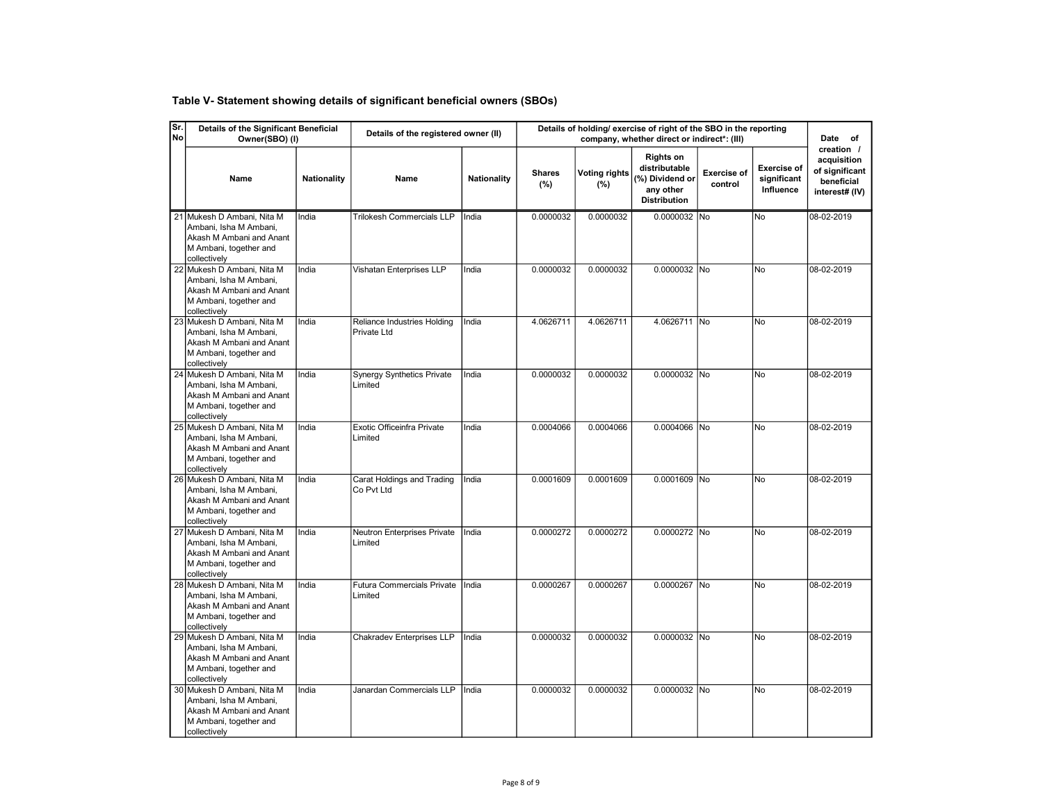| Table V- Statement showing details of significant beneficial owners (SBOs) |
|----------------------------------------------------------------------------|
|----------------------------------------------------------------------------|

| Sr.<br><b>No</b> | Details of the Significant Beneficial<br>Owner(SBO) (I)                                                                    |                    | Details of the registered owner (II)         |                    | Details of holding/ exercise of right of the SBO in the reporting |                             | Date of                                                                                  |                               |                                                |                                                                             |
|------------------|----------------------------------------------------------------------------------------------------------------------------|--------------------|----------------------------------------------|--------------------|-------------------------------------------------------------------|-----------------------------|------------------------------------------------------------------------------------------|-------------------------------|------------------------------------------------|-----------------------------------------------------------------------------|
|                  | Name                                                                                                                       | <b>Nationality</b> | Name                                         | <b>Nationality</b> | <b>Shares</b><br>(%)                                              | <b>Voting rights</b><br>(%) | <b>Rights on</b><br>distributable<br>(%) Dividend or<br>any other<br><b>Distribution</b> | <b>Exercise of</b><br>control | <b>Exercise of</b><br>significant<br>Influence | creation /<br>acquisition<br>of significant<br>beneficial<br>interest# (IV) |
|                  | 21 Mukesh D Ambani, Nita M<br>Ambani, Isha M Ambani,<br>Akash M Ambani and Anant<br>M Ambani, together and<br>collectively | India              | <b>Trilokesh Commercials LLP</b>             | India              | 0.0000032                                                         | 0.0000032                   | 0.0000032 No                                                                             |                               | No                                             | 08-02-2019                                                                  |
|                  | 22 Mukesh D Ambani, Nita M<br>Ambani, Isha M Ambani,<br>Akash M Ambani and Anant<br>M Ambani, together and<br>collectively | India              | Vishatan Enterprises LLP                     | India              | 0.0000032                                                         | 0.0000032                   | 0.0000032 No                                                                             |                               | lNo.                                           | 08-02-2019                                                                  |
|                  | 23 Mukesh D Ambani, Nita M<br>Ambani. Isha M Ambani.<br>Akash M Ambani and Anant<br>M Ambani, together and<br>collectively | India              | Reliance Industries Holding<br>Private Ltd   | India              | 4.0626711                                                         | 4.0626711                   | 4.0626711 No                                                                             |                               | <b>No</b>                                      | 08-02-2019                                                                  |
|                  | 24 Mukesh D Ambani, Nita M<br>Ambani, Isha M Ambani,<br>Akash M Ambani and Anant<br>M Ambani, together and<br>collectively | India              | <b>Synergy Synthetics Private</b><br>Limited | India              | 0.0000032                                                         | 0.0000032                   | 0.0000032 No                                                                             |                               | No                                             | 08-02-2019                                                                  |
|                  | 25 Mukesh D Ambani, Nita M<br>Ambani, Isha M Ambani,<br>Akash M Ambani and Anant<br>M Ambani, together and<br>collectively | India              | Exotic Officeinfra Private<br>Limited        | India              | 0.0004066                                                         | 0.0004066                   | 0.0004066 No                                                                             |                               | <b>No</b>                                      | 08-02-2019                                                                  |
|                  | 26 Mukesh D Ambani, Nita M<br>Ambani, Isha M Ambani,<br>Akash M Ambani and Anant<br>M Ambani, together and<br>collectively | India              | Carat Holdings and Trading<br>Co Pvt Ltd     | India              | 0.0001609                                                         | 0.0001609                   | 0.0001609 No                                                                             |                               | <b>No</b>                                      | 08-02-2019                                                                  |
|                  | 27 Mukesh D Ambani, Nita M<br>Ambani, Isha M Ambani,<br>Akash M Ambani and Anant<br>M Ambani, together and<br>collectively | India              | Neutron Enterprises Private<br>Limited       | India              | 0.0000272                                                         | 0.0000272                   | 0.0000272 No                                                                             |                               | <b>No</b>                                      | 08-02-2019                                                                  |
|                  | 28 Mukesh D Ambani, Nita M<br>Ambani, Isha M Ambani,<br>Akash M Ambani and Anant<br>M Ambani, together and<br>collectively | India              | <b>Futura Commercials Private</b><br>Limited | India              | 0.0000267                                                         | 0.0000267                   | 0.0000267 No                                                                             |                               | No                                             | 08-02-2019                                                                  |
|                  | 29 Mukesh D Ambani, Nita M<br>Ambani, Isha M Ambani,<br>Akash M Ambani and Anant<br>M Ambani, together and<br>collectively | India              | Chakradev Enterprises LLP                    | India              | 0.0000032                                                         | 0.0000032                   | 0.0000032 No                                                                             |                               | <b>No</b>                                      | 08-02-2019                                                                  |
|                  | 30 Mukesh D Ambani, Nita M<br>Ambani, Isha M Ambani,<br>Akash M Ambani and Anant<br>M Ambani, together and<br>collectively | India              | Janardan Commercials LLP                     | India              | 0.0000032                                                         | 0.0000032                   | 0.0000032 No                                                                             |                               | No                                             | 08-02-2019                                                                  |